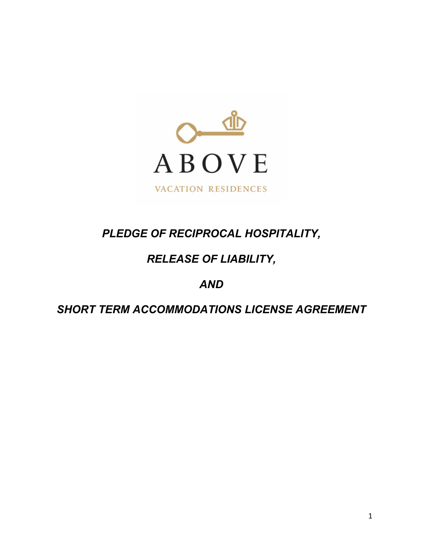

# *PLEDGE OF RECIPROCAL HOSPITALITY,*

# *RELEASE OF LIABILITY,*

# *AND*

# *SHORT TERM ACCOMMODATIONS LICENSE AGREEMENT*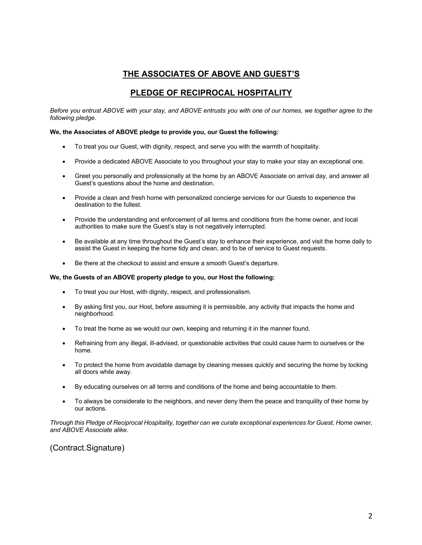### **THE ASSOCIATES OF ABOVE AND GUEST'S**

### **PLEDGE OF RECIPROCAL HOSPITALITY**

*Before you entrust ABOVE with your stay, and ABOVE entrusts you with one of our homes, we together agree to the following pledge.*

#### **We, the Associates of ABOVE pledge to provide you, our Guest the following:**

- To treat you our Guest, with dignity, respect, and serve you with the warmth of hospitality.
- Provide a dedicated ABOVE Associate to you throughout your stay to make your stay an exceptional one.
- Greet you personally and professionally at the home by an ABOVE Associate on arrival day, and answer all Guest's questions about the home and destination.
- Provide a clean and fresh home with personalized concierge services for our Guests to experience the destination to the fullest.
- Provide the understanding and enforcement of all terms and conditions from the home owner, and local authorities to make sure the Guest's stay is not negatively interrupted.
- Be available at any time throughout the Guest's stay to enhance their experience, and visit the home daily to assist the Guest in keeping the home tidy and clean, and to be of service to Guest requests.
- Be there at the checkout to assist and ensure a smooth Guest's departure.

#### **We, the Guests of an ABOVE property pledge to you, our Host the following:**

- To treat you our Host, with dignity, respect, and professionalism.
- By asking first you, our Host, before assuming it is permissible, any activity that impacts the home and neighborhood.
- To treat the home as we would our own, keeping and returning it in the manner found.
- Refraining from any illegal, ill-advised, or questionable activities that could cause harm to ourselves or the home.
- To protect the home from avoidable damage by cleaning messes quickly and securing the home by locking all doors while away.
- By educating ourselves on all terms and conditions of the home and being accountable to them.
- To always be considerate to the neighbors, and never deny them the peace and tranquility of their home by our actions.

*Through this Pledge of Reciprocal Hospitality, together can we curate exceptional experiences for Guest, Home owner, and ABOVE Associate alike.*

(Contract.Signature)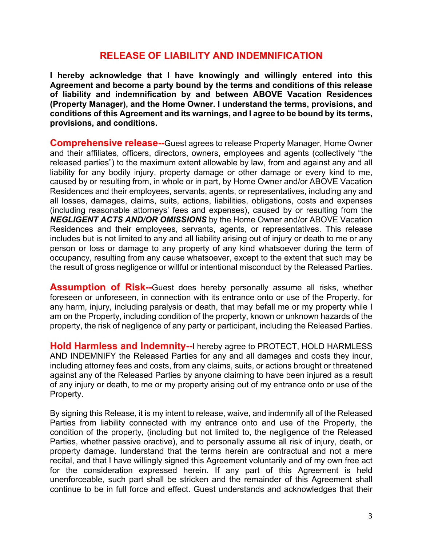# **RELEASE OF LIABILITY AND INDEMNIFICATION**

**I hereby acknowledge that I have knowingly and willingly entered into this Agreement and become a party bound by the terms and conditions of this release of liability and indemnification by and between ABOVE Vacation Residences (Property Manager), and the Home Owner. I understand the terms, provisions, and conditions of this Agreement and its warnings, and I agree to be bound by its terms, provisions, and conditions.** 

**Comprehensive release--**Guest agrees to release Property Manager, Home Owner and their affiliates, officers, directors, owners, employees and agents (collectively "the released parties") to the maximum extent allowable by law, from and against any and all liability for any bodily injury, property damage or other damage or every kind to me, caused by or resulting from, in whole or in part, by Home Owner and/or ABOVE Vacation Residences and their employees, servants, agents, or representatives, including any and all losses, damages, claims, suits, actions, liabilities, obligations, costs and expenses (including reasonable attorneys' fees and expenses), caused by or resulting from the *NEGLIGENT ACTS AND/OR OMISSIONS* by the Home Owner and/or ABOVE Vacation Residences and their employees, servants, agents, or representatives. This release includes but is not limited to any and all liability arising out of injury or death to me or any person or loss or damage to any property of any kind whatsoever during the term of occupancy, resulting from any cause whatsoever, except to the extent that such may be the result of gross negligence or willful or intentional misconduct by the Released Parties.

**Assumption of Risk--**Guest does hereby personally assume all risks, whether foreseen or unforeseen, in connection with its entrance onto or use of the Property, for any harm, injury, including paralysis or death, that may befall me or my property while I am on the Property, including condition of the property, known or unknown hazards of the property, the risk of negligence of any party or participant, including the Released Parties.

**Hold Harmless and Indemnity--**I hereby agree to PROTECT, HOLD HARMLESS AND INDEMNIFY the Released Parties for any and all damages and costs they incur, including attorney fees and costs, from any claims, suits, or actions brought or threatened against any of the Released Parties by anyone claiming to have been injured as a result of any injury or death, to me or my property arising out of my entrance onto or use of the Property.

By signing this Release, it is my intent to release, waive, and indemnify all of the Released Parties from liability connected with my entrance onto and use of the Property, the condition of the property, (including but not limited to, the negligence of the Released Parties, whether passive oractive), and to personally assume all risk of injury, death, or property damage. Iunderstand that the terms herein are contractual and not a mere recital, and that I have willingly signed this Agreement voluntarily and of my own free act for the consideration expressed herein. If any part of this Agreement is held unenforceable, such part shall be stricken and the remainder of this Agreement shall continue to be in full force and effect. Guest understands and acknowledges that their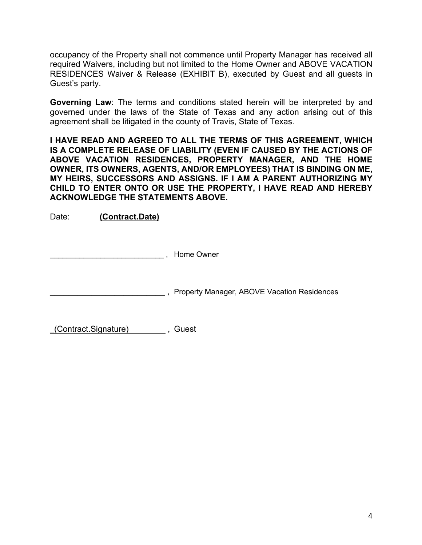occupancy of the Property shall not commence until Property Manager has received all required Waivers, including but not limited to the Home Owner and ABOVE VACATION RESIDENCES Waiver & Release (EXHIBIT B), executed by Guest and all guests in Guest's party.

**Governing Law**: The terms and conditions stated herein will be interpreted by and governed under the laws of the State of Texas and any action arising out of this agreement shall be litigated in the county of Travis, State of Texas.

**I HAVE READ AND AGREED TO ALL THE TERMS OF THIS AGREEMENT, WHICH IS A COMPLETE RELEASE OF LIABILITY (EVEN IF CAUSED BY THE ACTIONS OF ABOVE VACATION RESIDENCES, PROPERTY MANAGER, AND THE HOME OWNER, ITS OWNERS, AGENTS, AND/OR EMPLOYEES) THAT IS BINDING ON ME, MY HEIRS, SUCCESSORS AND ASSIGNS. IF I AM A PARENT AUTHORIZING MY CHILD TO ENTER ONTO OR USE THE PROPERTY, I HAVE READ AND HEREBY ACKNOWLEDGE THE STATEMENTS ABOVE.** 

Date: **(Contract.Date)**

\_\_\_\_\_\_\_\_\_\_\_\_\_\_\_\_\_\_\_\_\_\_\_\_\_\_\_ , Home Owner

\_\_\_\_\_\_\_\_\_\_\_\_\_\_\_\_\_\_\_\_\_\_\_\_\_ , Property Manager, ABOVE Vacation Residences

(Contract.Signature) \_\_\_\_\_\_\_ , Guest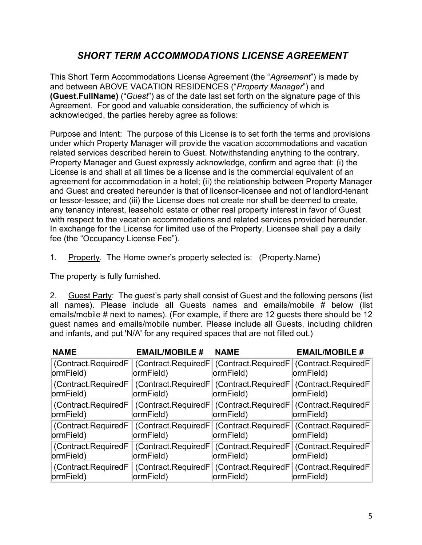# *SHORT TERM ACCOMMODATIONS LICENSE AGREEMENT*

This Short Term Accommodations License Agreement (the "*Agreement*") is made by and between ABOVE VACATION RESIDENCES ("*Property Manager*") and **(Guest.FullName)** ("*Guest*") as of the date last set forth on the signature page of this Agreement. For good and valuable consideration, the sufficiency of which is acknowledged, the parties hereby agree as follows:

Purpose and Intent: The purpose of this License is to set forth the terms and provisions under which Property Manager will provide the vacation accommodations and vacation related services described herein to Guest. Notwithstanding anything to the contrary, Property Manager and Guest expressly acknowledge, confirm and agree that: (i) the License is and shall at all times be a license and is the commercial equivalent of an agreement for accommodation in a hotel; (ii) the relationship between Property Manager and Guest and created hereunder is that of licensor-licensee and not of landlord-tenant or lessor-lessee; and (iii) the License does not create nor shall be deemed to create, any tenancy interest, leasehold estate or other real property interest in favor of Guest with respect to the vacation accommodations and related services provided hereunder. In exchange for the License for limited use of the Property, Licensee shall pay a daily fee (the "Occupancy License Fee").

1. Property. The Home owner's property selected is: (Property.Name)

The property is fully furnished.

2. Guest Party: The guest's party shall consist of Guest and the following persons (list all names). Please include all Guests names and emails/mobile # below (list emails/mobile # next to names). (For example, if there are 12 guests there should be 12 guest names and emails/mobile number. Please include all Guests, including children and infants, and put 'N/A' for any required spaces that are not filled out.)

| <b>NAME</b>                      | <b>EMAIL/MOBILE #</b> | <b>NAME</b> | <b>EMAIL/MOBILE #</b>                                                                                |
|----------------------------------|-----------------------|-------------|------------------------------------------------------------------------------------------------------|
| (Contract.RequiredF<br>ormField) | ormField)             | ormField)   | (Contract.RequiredF) (Contract.RequiredF) (Contract.RequiredF)<br>ormField)                          |
| (Contract.RequiredF<br>ormField) | ormField)             | ormField)   | (Contract.RequiredF (Contract.RequiredF (Contract.RequiredF)<br>ormField)                            |
| ormField)                        | ormField)             | ormField)   | (Contract.RequiredF   (Contract.RequiredF   (Contract.RequiredF   (Contract.RequiredF  <br>ormField) |
| (Contract.RequiredF<br>ormField) | ormField)             | ormField)   | (Contract.RequiredF) (Contract.RequiredF) (Contract.RequiredF)<br>ormField)                          |
| (Contract.RequiredF<br>ormField) | ormField)             | ormField)   | (Contract.RequiredF   (Contract.RequiredF   (Contract.RequiredF  <br>ormField)                       |
| (Contract.RequiredF<br>ormField) | ormField)             | ormField)   | (Contract.RequiredF) (Contract.RequiredF) (Contract.RequiredF)<br>ormField)                          |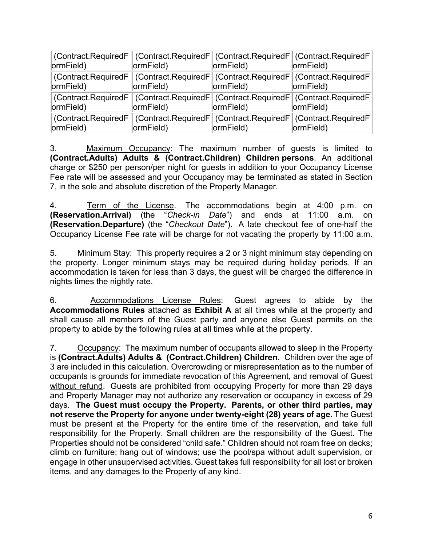| ormField)                                                                                          | ormField)                                                                                          | ormField) | (Contract.RequiredF   (Contract.RequiredF   (Contract.RequiredF   (Contract.RequiredF  <br>ormField) |
|----------------------------------------------------------------------------------------------------|----------------------------------------------------------------------------------------------------|-----------|------------------------------------------------------------------------------------------------------|
| (Contract.RequiredF   (Contract.RequiredF   (Contract.RequiredF   (Contract.RequiredF<br>ormField) | ormField)                                                                                          | ormField) | ormField)                                                                                            |
| (Contract.RequiredF   (Contract.RequiredF   (Contract.RequiredF   (Contract.RequiredF<br>ormField) | ormField)                                                                                          | ormField) | ormField)                                                                                            |
| ormField)                                                                                          | (Contract.RequiredF   (Contract.RequiredF   (Contract.RequiredF   (Contract.RequiredF<br>ormField) | ormField) | ormField)                                                                                            |

3. Maximum Occupancy: The maximum number of quests is limited to **(Contract.Adults) Adults & (Contract.Children) Children persons**. An additional charge or \$250 per person/per night for guests in addition to your Occupancy License Fee rate will be assessed and your Occupancy may be terminated as stated in Section 7, in the sole and absolute discretion of the Property Manager.

4. Term of the License. The accommodations begin at 4:00 p.m. on **(Reservation.Arrival)** (the "*Check-in Date*") and ends at 11:00 a.m. on **(Reservation.Departure)** (the "*Checkout Date*"). A late checkout fee of one-half the Occupancy License Fee rate will be charge for not vacating the property by 11:00 a.m.

5. Minimum Stay: This property requires a 2 or 3 night minimum stay depending on the property. Longer minimum stays may be required during holiday periods. If an accommodation is taken for less than 3 days, the guest will be charged the difference in nights times the nightly rate.

6. Accommodations License Rules: Guest agrees to abide by the **Accommodations Rules** attached as **Exhibit A** at all times while at the property and shall cause all members of the Guest party and anyone else Guest permits on the property to abide by the following rules at all times while at the property.

7. Occupancy: The maximum number of occupants allowed to sleep in the Property is **(Contract.Adults) Adults & (Contract.Children) Children**. Children over the age of 3 are included in this calculation. Overcrowding or misrepresentation as to the number of occupants is grounds for immediate revocation of this Agreement, and removal of Guest without refund. Guests are prohibited from occupying Property for more than 29 days and Property Manager may not authorize any reservation or occupancy in excess of 29 days. **The Guest must occupy the Property. Parents, or other third parties, may not reserve the Property for anyone under twenty-eight (28) years of age.** The Guest must be present at the Property for the entire time of the reservation, and take full responsibility for the Property. Small children are the responsibility of the Guest. The Properties should not be considered "child safe." Children should not roam free on decks; climb on furniture; hang out of windows; use the pool/spa without adult supervision, or engage in other unsupervised activities. Guest takes full responsibility for all lost or broken items, and any damages to the Property of any kind.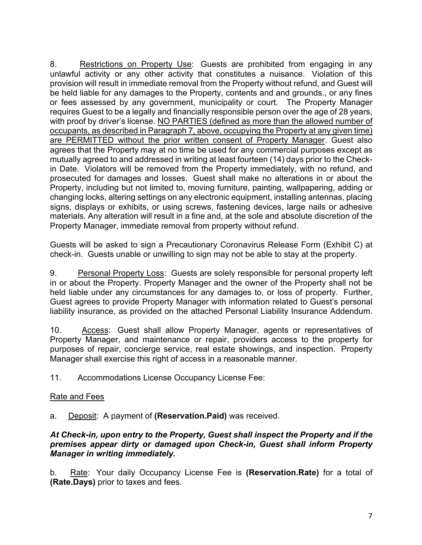8. Restrictions on Property Use: Guests are prohibited from engaging in any unlawful activity or any other activity that constitutes a nuisance. Violation of this provision will result in immediate removal from the Property without refund, and Guest will be held liable for any damages to the Property, contents and and grounds., or any fines or fees assessed by any government, municipality or court. The Property Manager requires Guest to be a legally and financially responsible person over the age of 28 years, with proof by driver's license. NO PARTIES (defined as more than the allowed number of occupants, as described in Paragraph 7, above, occupying the Property at any given time) are PERMITTED without the prior written consent of Property Manager. Guest also agrees that the Property may at no time be used for any commercial purposes except as mutually agreed to and addressed in writing at least fourteen (14) days prior to the Checkin Date. Violators will be removed from the Property immediately, with no refund, and prosecuted for damages and losses. Guest shall make no alterations in or about the Property, including but not limited to, moving furniture, painting, wallpapering, adding or changing locks, altering settings on any electronic equipment, installing antennas, placing signs, displays or exhibits, or using screws, fastening devices, large nails or adhesive materials. Any alteration will result in a fine and, at the sole and absolute discretion of the Property Manager, immediate removal from property without refund.

Guests will be asked to sign a Precautionary Coronavirus Release Form (Exhibit C) at check-in. Guests unable or unwilling to sign may not be able to stay at the property.

9. Personal Property Loss: Guests are solely responsible for personal property left in or about the Property. Property Manager and the owner of the Property shall not be held liable under any circumstances for any damages to, or loss of property. Further, Guest agrees to provide Property Manager with information related to Guest's personal liability insurance, as provided on the attached Personal Liability Insurance Addendum.

10. Access: Guest shall allow Property Manager, agents or representatives of Property Manager, and maintenance or repair, providers access to the property for purposes of repair, concierge service, real estate showings, and inspection. Property Manager shall exercise this right of access in a reasonable manner.

11. Accommodations License Occupancy License Fee:

### Rate and Fees

a. Deposit: A payment of **(Reservation.Paid)** was received.

#### *At Check-in, upon entry to the Property, Guest shall inspect the Property and if the premises appear dirty or damaged upon Check-in, Guest shall inform Property Manager in writing immediately.*

b. Rate: Your daily Occupancy License Fee is **(Reservation.Rate)** for a total of **(Rate.Days)** prior to taxes and fees.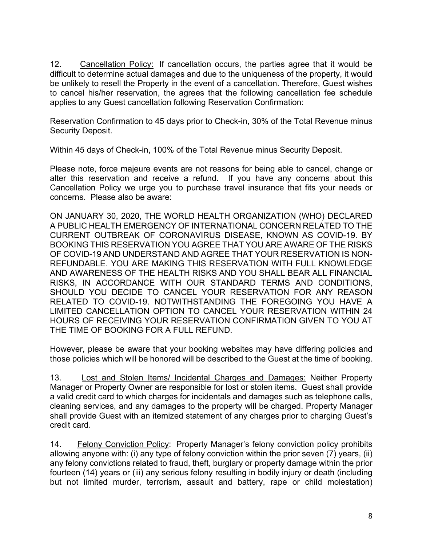12. Cancellation Policy: If cancellation occurs, the parties agree that it would be difficult to determine actual damages and due to the uniqueness of the property, it would be unlikely to resell the Property in the event of a cancellation. Therefore, Guest wishes to cancel his/her reservation, the agrees that the following cancellation fee schedule applies to any Guest cancellation following Reservation Confirmation:

Reservation Confirmation to 45 days prior to Check-in, 30% of the Total Revenue minus Security Deposit.

Within 45 days of Check-in, 100% of the Total Revenue minus Security Deposit.

Please note, force majeure events are not reasons for being able to cancel, change or alter this reservation and receive a refund. If you have any concerns about this Cancellation Policy we urge you to purchase travel insurance that fits your needs or concerns. Please also be aware:

ON JANUARY 30, 2020, THE WORLD HEALTH ORGANIZATION (WHO) DECLARED A PUBLIC HEALTH EMERGENCY OF INTERNATIONAL CONCERN RELATED TO THE CURRENT OUTBREAK OF CORONAVIRUS DISEASE, KNOWN AS COVID-19. BY BOOKING THIS RESERVATION YOU AGREE THAT YOU ARE AWARE OF THE RISKS OF COVID-19 AND UNDERSTAND AND AGREE THAT YOUR RESERVATION IS NON-REFUNDABLE. YOU ARE MAKING THIS RESERVATION WITH FULL KNOWLEDGE AND AWARENESS OF THE HEALTH RISKS AND YOU SHALL BEAR ALL FINANCIAL RISKS, IN ACCORDANCE WITH OUR STANDARD TERMS AND CONDITIONS, SHOULD YOU DECIDE TO CANCEL YOUR RESERVATION FOR ANY REASON RELATED TO COVID-19. NOTWITHSTANDING THE FOREGOING YOU HAVE A LIMITED CANCELLATION OPTION TO CANCEL YOUR RESERVATION WITHIN 24 HOURS OF RECEIVING YOUR RESERVATION CONFIRMATION GIVEN TO YOU AT THE TIME OF BOOKING FOR A FULL REFUND.

However, please be aware that your booking websites may have differing policies and those policies which will be honored will be described to the Guest at the time of booking.

13. Lost and Stolen Items/ Incidental Charges and Damages: Neither Property Manager or Property Owner are responsible for lost or stolen items. Guest shall provide a valid credit card to which charges for incidentals and damages such as telephone calls, cleaning services, and any damages to the property will be charged. Property Manager shall provide Guest with an itemized statement of any charges prior to charging Guest's credit card.

14. Felony Conviction Policy: Property Manager's felony conviction policy prohibits allowing anyone with: (i) any type of felony conviction within the prior seven (7) years, (ii) any felony convictions related to fraud, theft, burglary or property damage within the prior fourteen (14) years or (iii) any serious felony resulting in bodily injury or death (including but not limited murder, terrorism, assault and battery, rape or child molestation)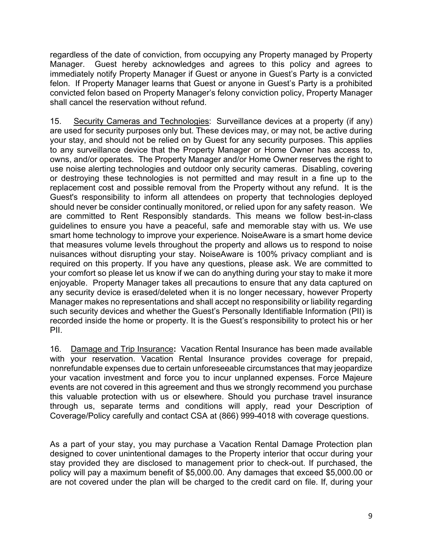regardless of the date of conviction, from occupying any Property managed by Property Manager. Guest hereby acknowledges and agrees to this policy and agrees to immediately notify Property Manager if Guest or anyone in Guest's Party is a convicted felon. If Property Manager learns that Guest or anyone in Guest's Party is a prohibited convicted felon based on Property Manager's felony conviction policy, Property Manager shall cancel the reservation without refund.

15. Security Cameras and Technologies: Surveillance devices at a property (if any) are used for security purposes only but. These devices may, or may not, be active during your stay, and should not be relied on by Guest for any security purposes. This applies to any surveillance device that the Property Manager or Home Owner has access to, owns, and/or operates. The Property Manager and/or Home Owner reserves the right to use noise alerting technologies and outdoor only security cameras. Disabling, covering or destroying these technologies is not permitted and may result in a fine up to the replacement cost and possible removal from the Property without any refund. It is the Guest's responsibility to inform all attendees on property that technologies deployed should never be consider continually monitored, or relied upon for any safety reason. We are committed to Rent Responsibly standards. This means we follow best-in-class guidelines to ensure you have a peaceful, safe and memorable stay with us. We use smart home technology to improve your experience. NoiseAware is a smart home device that measures volume levels throughout the property and allows us to respond to noise nuisances without disrupting your stay. NoiseAware is 100% privacy compliant and is required on this property. If you have any questions, please ask. We are committed to your comfort so please let us know if we can do anything during your stay to make it more enjoyable. Property Manager takes all precautions to ensure that any data captured on any security device is erased/deleted when it is no longer necessary, however Property Manager makes no representations and shall accept no responsibility or liability regarding such security devices and whether the Guest's Personally Identifiable Information (PII) is recorded inside the home or property. It is the Guest's responsibility to protect his or her PII.

16. Damage and Trip Insurance**:** Vacation Rental Insurance has been made available with your reservation. Vacation Rental Insurance provides coverage for prepaid, nonrefundable expenses due to certain unforeseeable circumstances that may jeopardize your vacation investment and force you to incur unplanned expenses. Force Majeure events are not covered in this agreement and thus we strongly recommend you purchase this valuable protection with us or elsewhere. Should you purchase travel insurance through us, separate terms and conditions will apply, read your Description of Coverage/Policy carefully and contact CSA at (866) 999-4018 with coverage questions.

As a part of your stay, you may purchase a Vacation Rental Damage Protection plan designed to cover unintentional damages to the Property interior that occur during your stay provided they are disclosed to management prior to check-out. If purchased, the policy will pay a maximum benefit of \$5,000.00. Any damages that exceed \$5,000.00 or are not covered under the plan will be charged to the credit card on file. If, during your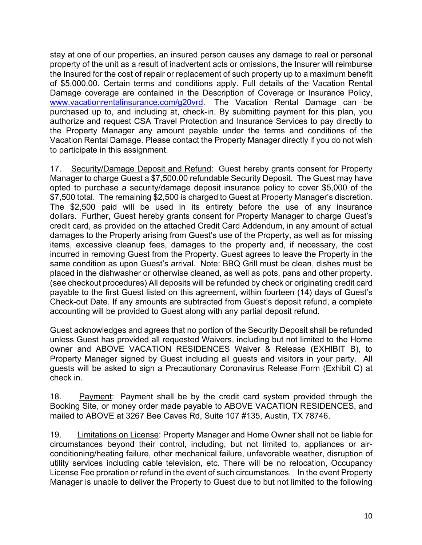stay at one of our properties, an insured person causes any damage to real or personal property of the unit as a result of inadvertent acts or omissions, the Insurer will reimburse the Insured for the cost of repair or replacement of such property up to a maximum benefit of \$5,000.00. Certain terms and conditions apply. Full details of the Vacation Rental Damage coverage are contained in the Description of Coverage or Insurance Policy, www.vacationrentalinsurance.com/g20vrd. The Vacation Rental Damage can be purchased up to, and including at, check-in. By submitting payment for this plan, you authorize and request CSA Travel Protection and Insurance Services to pay directly to the Property Manager any amount payable under the terms and conditions of the Vacation Rental Damage. Please contact the Property Manager directly if you do not wish to participate in this assignment.

17. Security/Damage Deposit and Refund: Guest hereby grants consent for Property Manager to charge Guest a \$7,500.00 refundable Security Deposit. The Guest may have opted to purchase a security/damage deposit insurance policy to cover \$5,000 of the \$7,500 total. The remaining \$2,500 is charged to Guest at Property Manager's discretion. The \$2,500 paid will be used in its entirety before the use of any insurance dollars. Further, Guest hereby grants consent for Property Manager to charge Guest's credit card, as provided on the attached Credit Card Addendum, in any amount of actual damages to the Property arising from Guest's use of the Property, as well as for missing items, excessive cleanup fees, damages to the property and, if necessary, the cost incurred in removing Guest from the Property. Guest agrees to leave the Property in the same condition as upon Guest's arrival. Note: BBQ Grill must be clean, dishes must be placed in the dishwasher or otherwise cleaned, as well as pots, pans and other property. (see checkout procedures) All deposits will be refunded by check or originating credit card payable to the first Guest listed on this agreement, within fourteen (14) days of Guest's Check-out Date. If any amounts are subtracted from Guest's deposit refund, a complete accounting will be provided to Guest along with any partial deposit refund.

Guest acknowledges and agrees that no portion of the Security Deposit shall be refunded unless Guest has provided all requested Waivers, including but not limited to the Home owner and ABOVE VACATION RESIDENCES Waiver & Release (EXHIBIT B), to Property Manager signed by Guest including all guests and visitors in your party. All guests will be asked to sign a Precautionary Coronavirus Release Form (Exhibit C) at check in.

18. Payment: Payment shall be by the credit card system provided through the Booking Site, or money order made payable to ABOVE VACATION RESIDENCES, and mailed to ABOVE at 3267 Bee Caves Rd, Suite 107 #135, Austin, TX 78746.

19. Limitations on License: Property Manager and Home Owner shall not be liable for circumstances beyond their control, including, but not limited to, appliances or airconditioning/heating failure, other mechanical failure, unfavorable weather, disruption of utility services including cable television, etc. There will be no relocation, Occupancy License Fee proration or refund in the event of such circumstances. In the event Property Manager is unable to deliver the Property to Guest due to but not limited to the following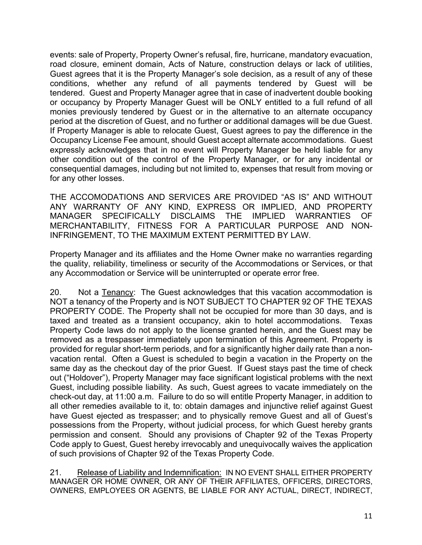events: sale of Property, Property Owner's refusal, fire, hurricane, mandatory evacuation, road closure, eminent domain, Acts of Nature, construction delays or lack of utilities, Guest agrees that it is the Property Manager's sole decision, as a result of any of these conditions, whether any refund of all payments tendered by Guest will be tendered. Guest and Property Manager agree that in case of inadvertent double booking or occupancy by Property Manager Guest will be ONLY entitled to a full refund of all monies previously tendered by Guest or in the alternative to an alternate occupancy period at the discretion of Guest, and no further or additional damages will be due Guest. If Property Manager is able to relocate Guest, Guest agrees to pay the difference in the Occupancy License Fee amount, should Guest accept alternate accommodations. Guest expressly acknowledges that in no event will Property Manager be held liable for any other condition out of the control of the Property Manager, or for any incidental or consequential damages, including but not limited to, expenses that result from moving or for any other losses.

THE ACCOMODATIONS AND SERVICES ARE PROVIDED "AS IS" AND WITHOUT ANY WARRANTY OF ANY KIND, EXPRESS OR IMPLIED, AND PROPERTY MANAGER SPECIFICALLY DISCLAIMS THE IMPLIED WARRANTIES OF MERCHANTABILITY, FITNESS FOR A PARTICULAR PURPOSE AND NON-INFRINGEMENT, TO THE MAXIMUM EXTENT PERMITTED BY LAW.

Property Manager and its affiliates and the Home Owner make no warranties regarding the quality, reliability, timeliness or security of the Accommodations or Services, or that any Accommodation or Service will be uninterrupted or operate error free.

20. Not a Tenancy: The Guest acknowledges that this vacation accommodation is NOT a tenancy of the Property and is NOT SUBJECT TO CHAPTER 92 OF THE TEXAS PROPERTY CODE. The Property shall not be occupied for more than 30 days, and is taxed and treated as a transient occupancy, akin to hotel accommodations. Texas Property Code laws do not apply to the license granted herein, and the Guest may be removed as a trespasser immediately upon termination of this Agreement. Property is provided for regular short-term periods, and for a significantly higher daily rate than a nonvacation rental. Often a Guest is scheduled to begin a vacation in the Property on the same day as the checkout day of the prior Guest. If Guest stays past the time of check out ("Holdover"), Property Manager may face significant logistical problems with the next Guest, including possible liability. As such, Guest agrees to vacate immediately on the check-out day, at 11:00 a.m. Failure to do so will entitle Property Manager, in addition to all other remedies available to it, to: obtain damages and injunctive relief against Guest have Guest ejected as trespasser; and to physically remove Guest and all of Guest's possessions from the Property, without judicial process, for which Guest hereby grants permission and consent. Should any provisions of Chapter 92 of the Texas Property Code apply to Guest, Guest hereby irrevocably and unequivocally waives the application of such provisions of Chapter 92 of the Texas Property Code.

21. Release of Liability and Indemnification: IN NO EVENT SHALL EITHER PROPERTY MANAGER OR HOME OWNER, OR ANY OF THEIR AFFILIATES, OFFICERS, DIRECTORS, OWNERS, EMPLOYEES OR AGENTS, BE LIABLE FOR ANY ACTUAL, DIRECT, INDIRECT,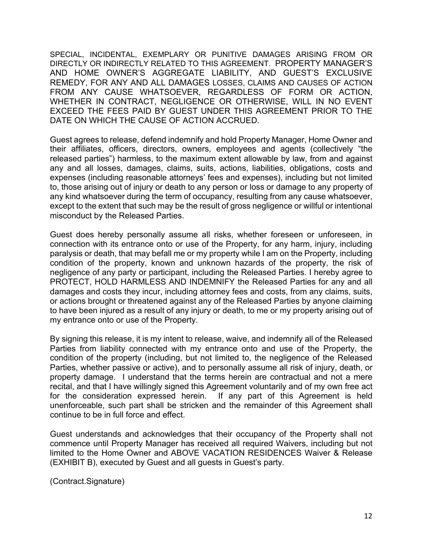SPECIAL, INCIDENTAL, EXEMPLARY OR PUNITIVE DAMAGES ARISING FROM OR DIRECTLY OR INDIRECTLY RELATED TO THIS AGREEMENT. PROPERTY MANAGER'S AND HOME OWNER'S AGGREGATE LIABILITY, AND GUEST'S EXCLUSIVE REMEDY, FOR ANY AND ALL DAMAGES LOSSES, CLAIMS AND CAUSES OF ACTION FROM ANY CAUSE WHATSOEVER, REGARDLESS OF FORM OR ACTION, WHETHER IN CONTRACT, NEGLIGENCE OR OTHERWISE, WILL IN NO EVENT EXCEED THE FEES PAID BY GUEST UNDER THIS AGREEMENT PRIOR TO THE DATE ON WHICH THE CAUSE OF ACTION ACCRUED.

Guest agrees to release, defend indemnify and hold Property Manager, Home Owner and their affiliates, officers, directors, owners, employees and agents (collectively "the released parties") harmless, to the maximum extent allowable by law, from and against any and all losses, damages, claims, suits, actions, liabilities, obligations, costs and expenses (including reasonable attorneys' fees and expenses), including but not limited to, those arising out of injury or death to any person or loss or damage to any property of any kind whatsoever during the term of occupancy, resulting from any cause whatsoever, except to the extent that such may be the result of gross negligence or willful or intentional misconduct by the Released Parties.

Guest does hereby personally assume all risks, whether foreseen or unforeseen, in connection with its entrance onto or use of the Property, for any harm, injury, including paralysis or death, that may befall me or my property while I am on the Property, including condition of the property, known and unknown hazards of the property, the risk of negligence of any party or participant, including the Released Parties. I hereby agree to PROTECT, HOLD HARMLESS AND INDEMNIFY the Released Parties for any and all damages and costs they incur, including attorney fees and costs, from any claims, suits, or actions brought or threatened against any of the Released Parties by anyone claiming to have been injured as a result of any injury or death, to me or my property arising out of my entrance onto or use of the Property.

By signing this release, it is my intent to release, waive, and indemnify all of the Released Parties from liability connected with my entrance onto and use of the Property, the condition of the property (including, but not limited to, the negligence of the Released Parties, whether passive or active), and to personally assume all risk of injury, death, or property damage. I understand that the terms herein are contractual and not a mere recital, and that I have willingly signed this Agreement voluntarily and of my own free act for the consideration expressed herein. If any part of this Agreement is held unenforceable, such part shall be stricken and the remainder of this Agreement shall continue to be in full force and effect.

Guest understands and acknowledges that their occupancy of the Property shall not commence until Property Manager has received all required Waivers, including but not limited to the Home Owner and ABOVE VACATION RESIDENCES Waiver & Release (EXHIBIT B), executed by Guest and all guests in Guest's party.

(Contract.Signature)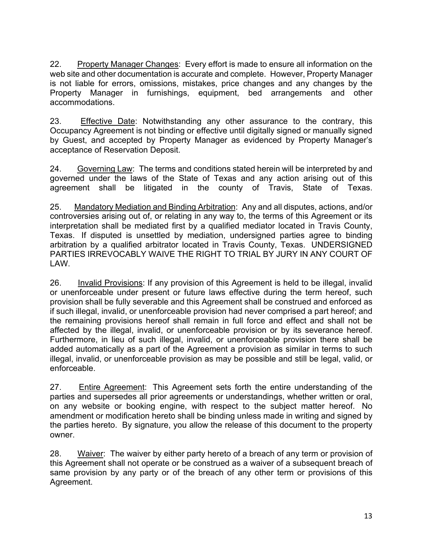22. Property Manager Changes: Every effort is made to ensure all information on the web site and other documentation is accurate and complete. However, Property Manager is not liable for errors, omissions, mistakes, price changes and any changes by the Property Manager in furnishings, equipment, bed arrangements and other accommodations.

23. Effective Date: Notwithstanding any other assurance to the contrary, this Occupancy Agreement is not binding or effective until digitally signed or manually signed by Guest, and accepted by Property Manager as evidenced by Property Manager's acceptance of Reservation Deposit.

24. Governing Law: The terms and conditions stated herein will be interpreted by and governed under the laws of the State of Texas and any action arising out of this agreement shall be litigated in the county of Travis, State of Texas.

25. Mandatory Mediation and Binding Arbitration: Any and all disputes, actions, and/or controversies arising out of, or relating in any way to, the terms of this Agreement or its interpretation shall be mediated first by a qualified mediator located in Travis County, Texas. If disputed is unsettled by mediation, undersigned parties agree to binding arbitration by a qualified arbitrator located in Travis County, Texas. UNDERSIGNED PARTIES IRREVOCABLY WAIVE THE RIGHT TO TRIAL BY JURY IN ANY COURT OF LAW.

26. Invalid Provisions: If any provision of this Agreement is held to be illegal, invalid or unenforceable under present or future laws effective during the term hereof, such provision shall be fully severable and this Agreement shall be construed and enforced as if such illegal, invalid, or unenforceable provision had never comprised a part hereof; and the remaining provisions hereof shall remain in full force and effect and shall not be affected by the illegal, invalid, or unenforceable provision or by its severance hereof. Furthermore, in lieu of such illegal, invalid, or unenforceable provision there shall be added automatically as a part of the Agreement a provision as similar in terms to such illegal, invalid, or unenforceable provision as may be possible and still be legal, valid, or enforceable.

27. Entire Agreement: This Agreement sets forth the entire understanding of the parties and supersedes all prior agreements or understandings, whether written or oral, on any website or booking engine, with respect to the subject matter hereof. No amendment or modification hereto shall be binding unless made in writing and signed by the parties hereto. By signature, you allow the release of this document to the property owner.

28. Waiver: The waiver by either party hereto of a breach of any term or provision of this Agreement shall not operate or be construed as a waiver of a subsequent breach of same provision by any party or of the breach of any other term or provisions of this Agreement.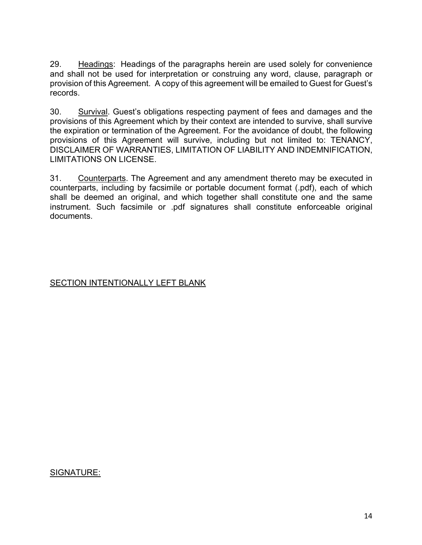29. Headings: Headings of the paragraphs herein are used solely for convenience and shall not be used for interpretation or construing any word, clause, paragraph or provision of this Agreement. A copy of this agreement will be emailed to Guest for Guest's records.

30. Survival. Guest's obligations respecting payment of fees and damages and the provisions of this Agreement which by their context are intended to survive, shall survive the expiration or termination of the Agreement. For the avoidance of doubt, the following provisions of this Agreement will survive, including but not limited to: TENANCY, DISCLAIMER OF WARRANTIES, LIMITATION OF LIABILITY AND INDEMNIFICATION, LIMITATIONS ON LICENSE.

31. Counterparts. The Agreement and any amendment thereto may be executed in counterparts, including by facsimile or portable document format (.pdf), each of which shall be deemed an original, and which together shall constitute one and the same instrument. Such facsimile or .pdf signatures shall constitute enforceable original documents.

## SECTION INTENTIONALLY LEFT BLANK

#### SIGNATURE: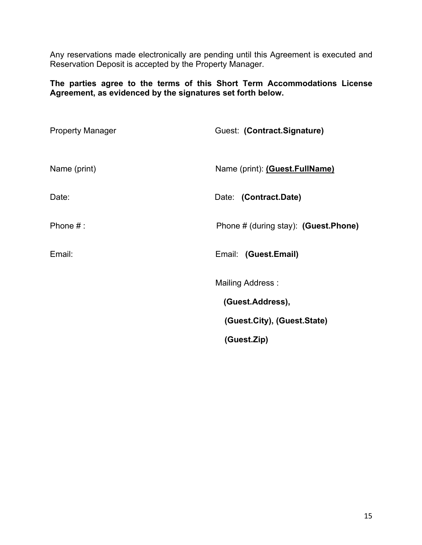Any reservations made electronically are pending until this Agreement is executed and Reservation Deposit is accepted by the Property Manager.

**The parties agree to the terms of this Short Term Accommodations License Agreement, as evidenced by the signatures set forth below.**

| <b>Property Manager</b> | Guest: (Contract.Signature)           |
|-------------------------|---------------------------------------|
| Name (print)            | Name (print): (Guest.FullName)        |
| Date:                   | Date: (Contract.Date)                 |
| Phone $#:$              | Phone # (during stay): (Guest. Phone) |
| Email:                  | Email: (Guest.Email)                  |
|                         | <b>Mailing Address:</b>               |
|                         | (Guest.Address),                      |
|                         | (Guest.City), (Guest.State)           |
|                         | (Guest.Zip)                           |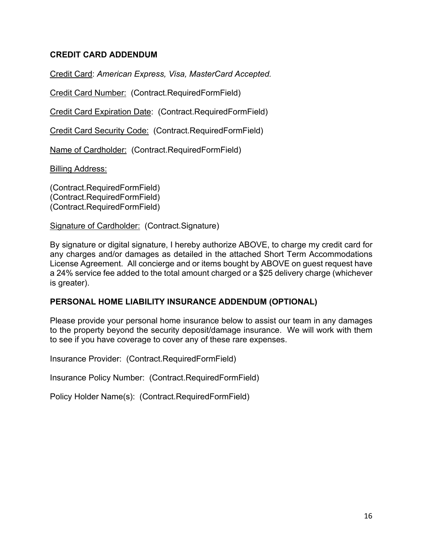### **CREDIT CARD ADDENDUM**

Credit Card: *American Express, Visa, MasterCard Accepted.*

Credit Card Number: (Contract.RequiredFormField)

Credit Card Expiration Date: (Contract.RequiredFormField)

Credit Card Security Code: (Contract.RequiredFormField)

Name of Cardholder: (Contract.RequiredFormField)

Billing Address:

(Contract.RequiredFormField) (Contract.RequiredFormField) (Contract.RequiredFormField)

Signature of Cardholder: (Contract.Signature)

By signature or digital signature, I hereby authorize ABOVE, to charge my credit card for any charges and/or damages as detailed in the attached Short Term Accommodations License Agreement. All concierge and or items bought by ABOVE on guest request have a 24% service fee added to the total amount charged or a \$25 delivery charge (whichever is greater).

#### **PERSONAL HOME LIABILITY INSURANCE ADDENDUM (OPTIONAL)**

Please provide your personal home insurance below to assist our team in any damages to the property beyond the security deposit/damage insurance. We will work with them to see if you have coverage to cover any of these rare expenses.

Insurance Provider: (Contract.RequiredFormField)

Insurance Policy Number: (Contract.RequiredFormField)

Policy Holder Name(s): (Contract.RequiredFormField)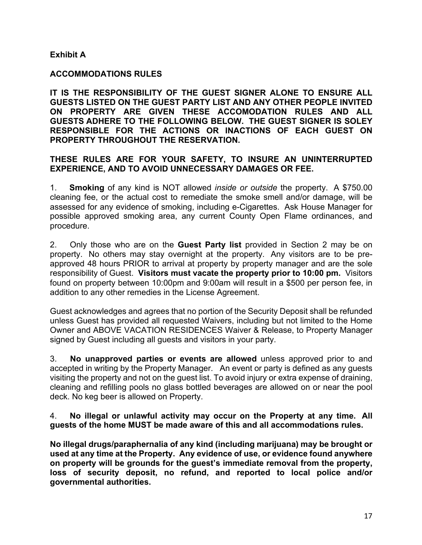#### **Exhibit A**

#### **ACCOMMODATIONS RULES**

**IT IS THE RESPONSIBILITY OF THE GUEST SIGNER ALONE TO ENSURE ALL GUESTS LISTED ON THE GUEST PARTY LIST AND ANY OTHER PEOPLE INVITED ON PROPERTY ARE GIVEN THESE ACCOMODATION RULES AND ALL GUESTS ADHERE TO THE FOLLOWING BELOW. THE GUEST SIGNER IS SOLEY RESPONSIBLE FOR THE ACTIONS OR INACTIONS OF EACH GUEST ON PROPERTY THROUGHOUT THE RESERVATION.**

#### **THESE RULES ARE FOR YOUR SAFETY, TO INSURE AN UNINTERRUPTED EXPERIENCE, AND TO AVOID UNNECESSARY DAMAGES OR FEE.**

1. **Smoking** of any kind is NOT allowed *inside or outside* the property. A \$750.00 cleaning fee, or the actual cost to remediate the smoke smell and/or damage, will be assessed for any evidence of smoking, including e-Cigarettes. Ask House Manager for possible approved smoking area, any current County Open Flame ordinances, and procedure.

2. Only those who are on the **Guest Party list** provided in Section 2 may be on property. No others may stay overnight at the property. Any visitors are to be preapproved 48 hours PRIOR to arrival at property by property manager and are the sole responsibility of Guest. **Visitors must vacate the property prior to 10:00 pm.** Visitors found on property between 10:00pm and 9:00am will result in a \$500 per person fee, in addition to any other remedies in the License Agreement.

Guest acknowledges and agrees that no portion of the Security Deposit shall be refunded unless Guest has provided all requested Waivers, including but not limited to the Home Owner and ABOVE VACATION RESIDENCES Waiver & Release, to Property Manager signed by Guest including all guests and visitors in your party.

3. **No unapproved parties or events are allowed** unless approved prior to and accepted in writing by the Property Manager. An event or party is defined as any guests visiting the property and not on the guest list. To avoid injury or extra expense of draining, cleaning and refilling pools no glass bottled beverages are allowed on or near the pool deck. No keg beer is allowed on Property.

#### 4. **No illegal or unlawful activity may occur on the Property at any time. All guests of the home MUST be made aware of this and all accommodations rules.**

**No illegal drugs/paraphernalia of any kind (including marijuana) may be brought or used at any time at the Property. Any evidence of use, or evidence found anywhere on property will be grounds for the guest's immediate removal from the property, loss of security deposit, no refund, and reported to local police and/or governmental authorities.**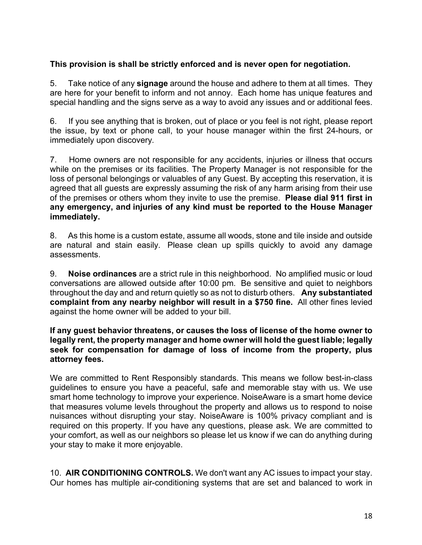### **This provision is shall be strictly enforced and is never open for negotiation.**

5. Take notice of any **signage** around the house and adhere to them at all times. They are here for your benefit to inform and not annoy. Each home has unique features and special handling and the signs serve as a way to avoid any issues and or additional fees.

6. If you see anything that is broken, out of place or you feel is not right, please report the issue, by text or phone call, to your house manager within the first 24-hours, or immediately upon discovery.

7. Home owners are not responsible for any accidents, injuries or illness that occurs while on the premises or its facilities. The Property Manager is not responsible for the loss of personal belongings or valuables of any Guest. By accepting this reservation, it is agreed that all guests are expressly assuming the risk of any harm arising from their use of the premises or others whom they invite to use the premise. **Please dial 911 first in any emergency, and injuries of any kind must be reported to the House Manager immediately.**

8. As this home is a custom estate, assume all woods, stone and tile inside and outside are natural and stain easily. Please clean up spills quickly to avoid any damage assessments.

9. **Noise ordinances** are a strict rule in this neighborhood. No amplified music or loud conversations are allowed outside after 10:00 pm. Be sensitive and quiet to neighbors throughout the day and and return quietly so as not to disturb others. **Any substantiated complaint from any nearby neighbor will result in a \$750 fine.** All other fines levied against the home owner will be added to your bill.

#### **If any guest behavior threatens, or causes the loss of license of the home owner to legally rent, the property manager and home owner will hold the guest liable; legally seek for compensation for damage of loss of income from the property, plus attorney fees.**

We are committed to Rent Responsibly standards. This means we follow best-in-class guidelines to ensure you have a peaceful, safe and memorable stay with us. We use smart home technology to improve your experience. NoiseAware is a smart home device that measures volume levels throughout the property and allows us to respond to noise nuisances without disrupting your stay. NoiseAware is 100% privacy compliant and is required on this property. If you have any questions, please ask. We are committed to your comfort, as well as our neighbors so please let us know if we can do anything during your stay to make it more enjoyable.

10. **AIR CONDITIONING CONTROLS.** We don't want any AC issues to impact your stay. Our homes has multiple air-conditioning systems that are set and balanced to work in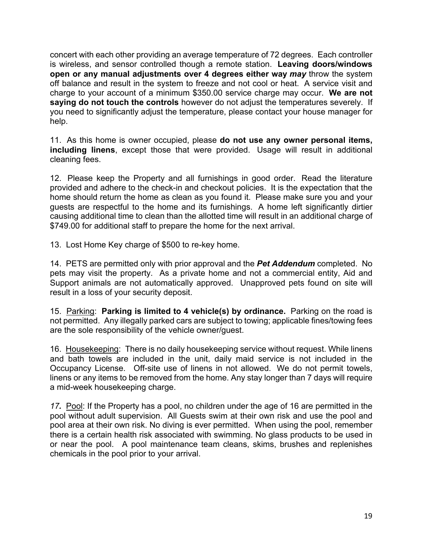concert with each other providing an average temperature of 72 degrees. Each controller is wireless, and sensor controlled though a remote station. **Leaving doors/windows open or any manual adjustments over 4 degrees either way** *may* throw the system off balance and result in the system to freeze and not cool or heat. A service visit and charge to your account of a minimum \$350.00 service charge may occur. **We are not saying do not touch the controls** however do not adjust the temperatures severely. If you need to significantly adjust the temperature, please contact your house manager for help.

11. As this home is owner occupied, please **do not use any owner personal items, including linens**, except those that were provided. Usage will result in additional cleaning fees.

12. Please keep the Property and all furnishings in good order. Read the literature provided and adhere to the check-in and checkout policies. It is the expectation that the home should return the home as clean as you found it. Please make sure you and your guests are respectful to the home and its furnishings. A home left significantly dirtier causing additional time to clean than the allotted time will result in an additional charge of \$749.00 for additional staff to prepare the home for the next arrival.

13. Lost Home Key charge of \$500 to re-key home.

14. PETS are permitted only with prior approval and the *Pet Addendum* completed. No pets may visit the property. As a private home and not a commercial entity, Aid and Support animals are not automatically approved. Unapproved pets found on site will result in a loss of your security deposit.

15. Parking: **Parking is limited to 4 vehicle(s) by ordinance.** Parking on the road is not permitted. Any illegally parked cars are subject to towing; applicable fines/towing fees are the sole responsibility of the vehicle owner/guest.

16. Housekeeping: There is no daily housekeeping service without request. While linens and bath towels are included in the unit, daily maid service is not included in the Occupancy License. Off-site use of linens in not allowed. We do not permit towels, linens or any items to be removed from the home. Any stay longer than 7 days will require a mid-week housekeeping charge.

*17.* Pool: If the Property has a pool, no children under the age of 16 are permitted in the pool without adult supervision. All Guests swim at their own risk and use the pool and pool area at their own risk. No diving is ever permitted. When using the pool, remember there is a certain health risk associated with swimming. No glass products to be used in or near the pool. A pool maintenance team cleans, skims, brushes and replenishes chemicals in the pool prior to your arrival.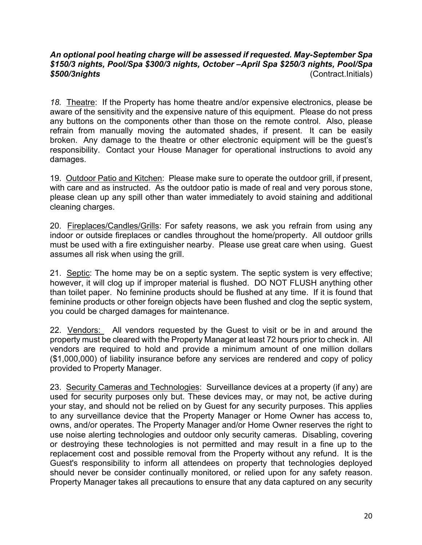#### *An optional pool heating charge will be assessed if requested. May-September Spa \$150/3 nights, Pool/Spa \$300/3 nights, October –April Spa \$250/3 nights, Pool/Spa \$500/3nights* (Contract.Initials)

*18.* Theatre: If the Property has home theatre and/or expensive electronics, please be aware of the sensitivity and the expensive nature of this equipment. Please do not press any buttons on the components other than those on the remote control. Also, please refrain from manually moving the automated shades, if present. It can be easily broken. Any damage to the theatre or other electronic equipment will be the guest's responsibility. Contact your House Manager for operational instructions to avoid any damages.

19. Outdoor Patio and Kitchen: Please make sure to operate the outdoor grill, if present, with care and as instructed. As the outdoor patio is made of real and very porous stone, please clean up any spill other than water immediately to avoid staining and additional cleaning charges.

20. Fireplaces/Candles/Grills: For safety reasons, we ask you refrain from using any indoor or outside fireplaces or candles throughout the home/property. All outdoor grills must be used with a fire extinguisher nearby. Please use great care when using. Guest assumes all risk when using the grill.

21. Septic: The home may be on a septic system. The septic system is very effective; however, it will clog up if improper material is flushed. DO NOT FLUSH anything other than toilet paper. No feminine products should be flushed at any time. If it is found that feminine products or other foreign objects have been flushed and clog the septic system, you could be charged damages for maintenance.

22. Vendors: All vendors requested by the Guest to visit or be in and around the property must be cleared with the Property Manager at least 72 hours prior to check in. All vendors are required to hold and provide a minimum amount of one million dollars (\$1,000,000) of liability insurance before any services are rendered and copy of policy provided to Property Manager.

23. Security Cameras and Technologies: Surveillance devices at a property (if any) are used for security purposes only but. These devices may, or may not, be active during your stay, and should not be relied on by Guest for any security purposes. This applies to any surveillance device that the Property Manager or Home Owner has access to, owns, and/or operates. The Property Manager and/or Home Owner reserves the right to use noise alerting technologies and outdoor only security cameras. Disabling, covering or destroying these technologies is not permitted and may result in a fine up to the replacement cost and possible removal from the Property without any refund. It is the Guest's responsibility to inform all attendees on property that technologies deployed should never be consider continually monitored, or relied upon for any safety reason. Property Manager takes all precautions to ensure that any data captured on any security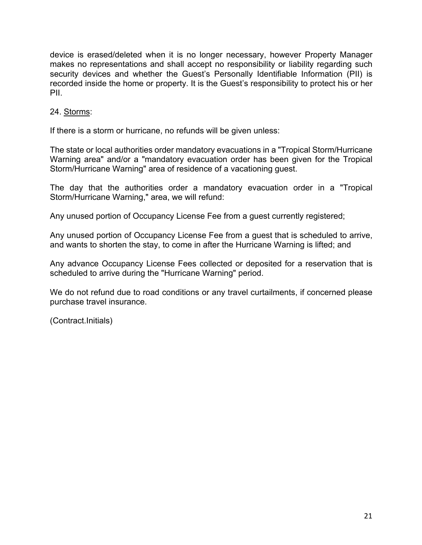device is erased/deleted when it is no longer necessary, however Property Manager makes no representations and shall accept no responsibility or liability regarding such security devices and whether the Guest's Personally Identifiable Information (PII) is recorded inside the home or property. It is the Guest's responsibility to protect his or her PII.

#### 24. Storms:

If there is a storm or hurricane, no refunds will be given unless:

The state or local authorities order mandatory evacuations in a "Tropical Storm/Hurricane Warning area" and/or a "mandatory evacuation order has been given for the Tropical Storm/Hurricane Warning" area of residence of a vacationing guest.

The day that the authorities order a mandatory evacuation order in a "Tropical Storm/Hurricane Warning," area, we will refund:

Any unused portion of Occupancy License Fee from a guest currently registered;

Any unused portion of Occupancy License Fee from a guest that is scheduled to arrive, and wants to shorten the stay, to come in after the Hurricane Warning is lifted; and

Any advance Occupancy License Fees collected or deposited for a reservation that is scheduled to arrive during the "Hurricane Warning" period.

We do not refund due to road conditions or any travel curtailments, if concerned please purchase travel insurance.

(Contract.Initials)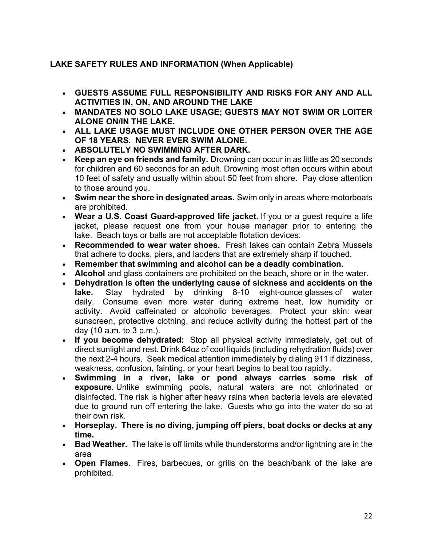## **LAKE SAFETY RULES AND INFORMATION (When Applicable)**

- **GUESTS ASSUME FULL RESPONSIBILITY AND RISKS FOR ANY AND ALL ACTIVITIES IN, ON, AND AROUND THE LAKE**
- **MANDATES NO SOLO LAKE USAGE; GUESTS MAY NOT SWIM OR LOITER ALONE ON/IN THE LAKE.**
- **ALL LAKE USAGE MUST INCLUDE ONE OTHER PERSON OVER THE AGE OF 18 YEARS. NEVER EVER SWIM ALONE.**
- **ABSOLUTELY NO SWIMMING AFTER DARK.**
- **Keep an eye on friends and family.** Drowning can occur in as little as 20 seconds for children and 60 seconds for an adult. Drowning most often occurs within about 10 feet of safety and usually within about 50 feet from shore. Pay close attention to those around you.
- **Swim near the shore in designated areas.** Swim only in areas where motorboats are prohibited.
- **Wear a U.S. Coast Guard-approved life jacket.** If you or a guest require a life jacket, please request one from your house manager prior to entering the lake. Beach toys or balls are not acceptable flotation devices.
- **Recommended to wear water shoes.** Fresh lakes can contain Zebra Mussels that adhere to docks, piers, and ladders that are extremely sharp if touched.
- **Remember that swimming and alcohol can be a deadly combination.**
- **Alcohol** and glass containers are prohibited on the beach, shore or in the water.
- **Dehydration is often the underlying cause of sickness and accidents on the lake.** Stay hydrated by drinking 8-10 eight-ounce glasses of water daily. Consume even more water during extreme heat, low humidity or activity. Avoid caffeinated or alcoholic beverages. Protect your skin: wear sunscreen, protective clothing, and reduce activity during the hottest part of the day (10 a.m. to 3 p.m.).
- **If you become dehydrated:** Stop all physical activity immediately, get out of direct sunlight and rest. Drink 64oz of cool liquids (including rehydration fluids) over the next 2-4 hours. Seek medical attention immediately by dialing 911 if dizziness, weakness, confusion, fainting, or your heart begins to beat too rapidly.
- **Swimming in a river, lake or pond always carries some risk of exposure.** Unlike swimming pools, natural waters are not chlorinated or disinfected. The risk is higher after heavy rains when bacteria levels are elevated due to ground run off entering the lake. Guests who go into the water do so at their own risk.
- **Horseplay. There is no diving, jumping off piers, boat docks or decks at any time.**
- **Bad Weather.** The lake is off limits while thunderstorms and/or lightning are in the area
- **Open Flames.** Fires, barbecues, or grills on the beach/bank of the lake are prohibited.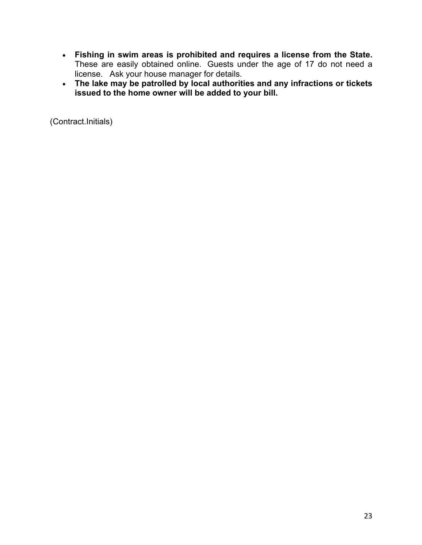- **Fishing in swim areas is prohibited and requires a license from the State.**  These are easily obtained online. Guests under the age of 17 do not need a license. Ask your house manager for details.
- **The lake may be patrolled by local authorities and any infractions or tickets issued to the home owner will be added to your bill.**

(Contract.Initials)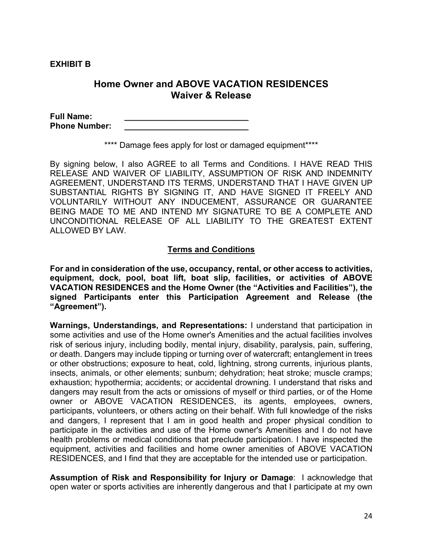**EXHIBIT B**

# **Home Owner and ABOVE VACATION RESIDENCES Waiver & Release**

**Full Name: \_\_\_\_\_\_\_\_\_\_\_\_\_\_\_\_\_\_\_\_\_\_\_\_\_\_\_ Phone Number:** 

\*\*\*\* Damage fees apply for lost or damaged equipment\*\*\*\*

By signing below, I also AGREE to all Terms and Conditions. I HAVE READ THIS RELEASE AND WAIVER OF LIABILITY, ASSUMPTION OF RISK AND INDEMNITY AGREEMENT, UNDERSTAND ITS TERMS, UNDERSTAND THAT I HAVE GIVEN UP SUBSTANTIAL RIGHTS BY SIGNING IT, AND HAVE SIGNED IT FREELY AND VOLUNTARILY WITHOUT ANY INDUCEMENT, ASSURANCE OR GUARANTEE BEING MADE TO ME AND INTEND MY SIGNATURE TO BE A COMPLETE AND UNCONDITIONAL RELEASE OF ALL LIABILITY TO THE GREATEST EXTENT ALLOWED BY LAW.

#### **Terms and Conditions**

**For and in consideration of the use, occupancy, rental, or other access to activities, equipment, dock, pool, boat lift, boat slip, facilities, or activities of ABOVE VACATION RESIDENCES and the Home Owner (the "Activities and Facilities"), the signed Participants enter this Participation Agreement and Release (the "Agreement").**

**Warnings, Understandings, and Representations:** I understand that participation in some activities and use of the Home owner's Amenities and the actual facilities involves risk of serious injury, including bodily, mental injury, disability, paralysis, pain, suffering, or death. Dangers may include tipping or turning over of watercraft; entanglement in trees or other obstructions; exposure to heat, cold, lightning, strong currents, injurious plants, insects, animals, or other elements; sunburn; dehydration; heat stroke; muscle cramps; exhaustion; hypothermia; accidents; or accidental drowning. I understand that risks and dangers may result from the acts or omissions of myself or third parties, or of the Home owner or ABOVE VACATION RESIDENCES, its agents, employees, owners, participants, volunteers, or others acting on their behalf. With full knowledge of the risks and dangers, I represent that I am in good health and proper physical condition to participate in the activities and use of the Home owner's Amenities and I do not have health problems or medical conditions that preclude participation. I have inspected the equipment, activities and facilities and home owner amenities of ABOVE VACATION RESIDENCES, and I find that they are acceptable for the intended use or participation.

**Assumption of Risk and Responsibility for Injury or Damage**: I acknowledge that open water or sports activities are inherently dangerous and that I participate at my own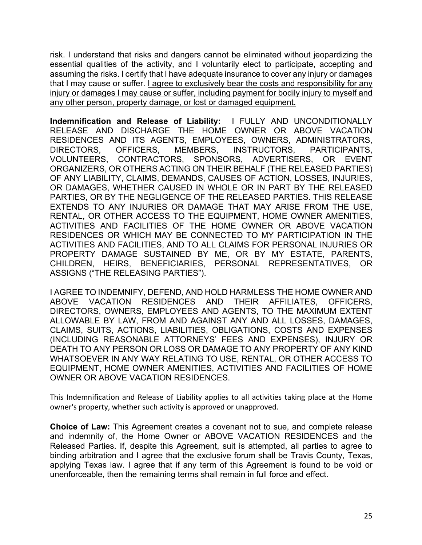risk. I understand that risks and dangers cannot be eliminated without jeopardizing the essential qualities of the activity, and I voluntarily elect to participate, accepting and assuming the risks. I certify that I have adequate insurance to cover any injury or damages that I may cause or suffer. I agree to exclusively bear the costs and responsibility for any injury or damages I may cause or suffer, including payment for bodily injury to myself and any other person, property damage, or lost or damaged equipment.

**Indemnification and Release of Liability:** I FULLY AND UNCONDITIONALLY RELEASE AND DISCHARGE THE HOME OWNER OR ABOVE VACATION RESIDENCES AND ITS AGENTS, EMPLOYEES, OWNERS, ADMINISTRATORS, DIRECTORS, OFFICERS, MEMBERS, INSTRUCTORS, PARTICIPANTS, VOLUNTEERS, CONTRACTORS, SPONSORS, ADVERTISERS, OR EVENT ORGANIZERS, OR OTHERS ACTING ON THEIR BEHALF (THE RELEASED PARTIES) OF ANY LIABILITY, CLAIMS, DEMANDS, CAUSES OF ACTION, LOSSES, INJURIES, OR DAMAGES, WHETHER CAUSED IN WHOLE OR IN PART BY THE RELEASED PARTIES, OR BY THE NEGLIGENCE OF THE RELEASED PARTIES. THIS RELEASE EXTENDS TO ANY INJURIES OR DAMAGE THAT MAY ARISE FROM THE USE, RENTAL, OR OTHER ACCESS TO THE EQUIPMENT, HOME OWNER AMENITIES, ACTIVITIES AND FACILITIES OF THE HOME OWNER OR ABOVE VACATION RESIDENCES OR WHICH MAY BE CONNECTED TO MY PARTICIPATION IN THE ACTIVITIES AND FACILITIES, AND TO ALL CLAIMS FOR PERSONAL INJURIES OR PROPERTY DAMAGE SUSTAINED BY ME, OR BY MY ESTATE, PARENTS, CHILDREN, HEIRS, BENEFICIARIES, PERSONAL REPRESENTATIVES, OR ASSIGNS ("THE RELEASING PARTIES").

I AGREE TO INDEMNIFY, DEFEND, AND HOLD HARMLESS THE HOME OWNER AND ABOVE VACATION RESIDENCES AND THEIR AFFILIATES, OFFICERS, DIRECTORS, OWNERS, EMPLOYEES AND AGENTS, TO THE MAXIMUM EXTENT ALLOWABLE BY LAW, FROM AND AGAINST ANY AND ALL LOSSES, DAMAGES, CLAIMS, SUITS, ACTIONS, LIABILITIES, OBLIGATIONS, COSTS AND EXPENSES (INCLUDING REASONABLE ATTORNEYS' FEES AND EXPENSES), INJURY OR DEATH TO ANY PERSON OR LOSS OR DAMAGE TO ANY PROPERTY OF ANY KIND WHATSOEVER IN ANY WAY RELATING TO USE, RENTAL, OR OTHER ACCESS TO EQUIPMENT, HOME OWNER AMENITIES, ACTIVITIES AND FACILITIES OF HOME OWNER OR ABOVE VACATION RESIDENCES.

This Indemnification and Release of Liability applies to all activities taking place at the Home owner's property, whether such activity is approved or unapproved.

**Choice of Law:** This Agreement creates a covenant not to sue, and complete release and indemnity of, the Home Owner or ABOVE VACATION RESIDENCES and the Released Parties. If, despite this Agreement, suit is attempted, all parties to agree to binding arbitration and I agree that the exclusive forum shall be Travis County, Texas, applying Texas law. I agree that if any term of this Agreement is found to be void or unenforceable, then the remaining terms shall remain in full force and effect.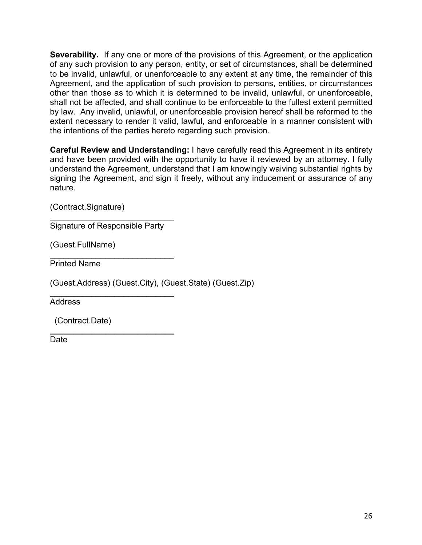**Severability.** If any one or more of the provisions of this Agreement, or the application of any such provision to any person, entity, or set of circumstances, shall be determined to be invalid, unlawful, or unenforceable to any extent at any time, the remainder of this Agreement, and the application of such provision to persons, entities, or circumstances other than those as to which it is determined to be invalid, unlawful, or unenforceable, shall not be affected, and shall continue to be enforceable to the fullest extent permitted by law. Any invalid, unlawful, or unenforceable provision hereof shall be reformed to the extent necessary to render it valid, lawful, and enforceable in a manner consistent with the intentions of the parties hereto regarding such provision.

**Careful Review and Understanding:** I have carefully read this Agreement in its entirety and have been provided with the opportunity to have it reviewed by an attorney. I fully understand the Agreement, understand that I am knowingly waiving substantial rights by signing the Agreement, and sign it freely, without any inducement or assurance of any nature.

(Contract.Signature)

 $\mathcal{L}_\text{max}$  , where  $\mathcal{L}_\text{max}$  , we have the set of  $\mathcal{L}_\text{max}$ Signature of Responsible Party

\_\_\_\_\_\_\_\_\_\_\_\_\_\_\_\_\_\_\_\_\_\_\_\_\_\_\_

(Guest.FullName)

\_\_\_\_\_\_\_\_\_\_\_\_\_\_\_\_\_\_\_\_\_\_\_\_\_\_\_ Printed Name

(Guest.Address) (Guest.City), (Guest.State) (Guest.Zip)

Address

(Contract.Date)

**\_\_\_\_\_\_\_\_\_\_\_\_\_\_\_\_\_\_\_\_\_\_\_\_\_\_\_** Date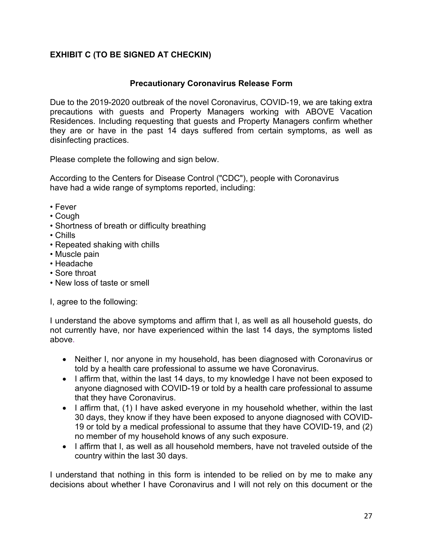# **EXHIBIT C (TO BE SIGNED AT CHECKIN)**

### **Precautionary Coronavirus Release Form**

Due to the 2019-2020 outbreak of the novel Coronavirus, COVID-19, we are taking extra precautions with guests and Property Managers working with ABOVE Vacation Residences. Including requesting that guests and Property Managers confirm whether they are or have in the past 14 days suffered from certain symptoms, as well as disinfecting practices.

Please complete the following and sign below.

According to the Centers for Disease Control ("CDC"), people with Coronavirus have had a wide range of symptoms reported, including:

- Fever
- Cough
- Shortness of breath or difficulty breathing
- Chills
- Repeated shaking with chills
- Muscle pain
- Headache
- Sore throat
- New loss of taste or smell

I, agree to the following:

I understand the above symptoms and affirm that I, as well as all household guests, do not currently have, nor have experienced within the last 14 days, the symptoms listed above.

- Neither I, nor anyone in my household, has been diagnosed with Coronavirus or told by a health care professional to assume we have Coronavirus.
- I affirm that, within the last 14 days, to my knowledge I have not been exposed to anyone diagnosed with COVID-19 or told by a health care professional to assume that they have Coronavirus.
- I affirm that, (1) I have asked everyone in my household whether, within the last 30 days, they know if they have been exposed to anyone diagnosed with COVID-19 or told by a medical professional to assume that they have COVID-19, and (2) no member of my household knows of any such exposure.
- I affirm that I, as well as all household members, have not traveled outside of the country within the last 30 days.

I understand that nothing in this form is intended to be relied on by me to make any decisions about whether I have Coronavirus and I will not rely on this document or the